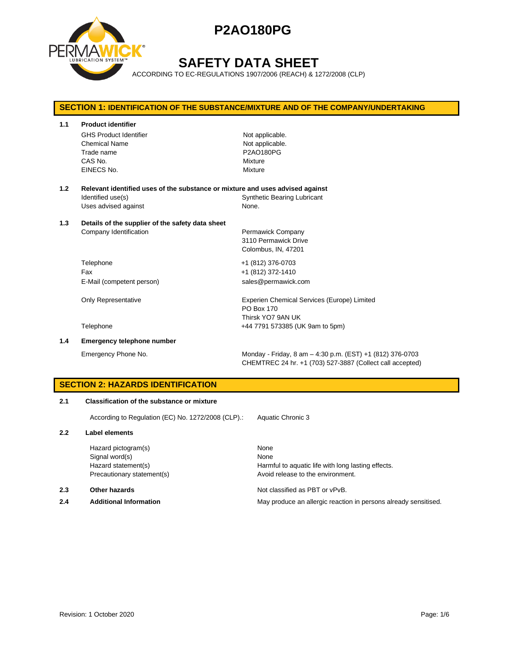

# **SAFETY DATA SHEET**

ACCORDING TO EC-REGULATIONS 1907/2006 (REACH) & 1272/2008 (CLP)

# **SECTION 1: IDENTIFICATION OF THE SUBSTANCE/MIXTURE AND OF THE COMPANY/UNDERTAKING 1.1 Product identifier** GHS Product Identifier Not applicable. Chemical Name Not applicable. Trade name **P2AO180PG** CAS No. Mixture EINECS No. 2008 - 2009 Mixture **1.2 Relevant identified uses of the substance or mixture and uses advised against** Identified use(s) The Synthetic Bearing Lubricant Uses advised against None. **1.3 Details of the supplier of the safety data sheet** Company Identification **Permawick Company** 3110 Permawick Drive Colombus, IN, 47201 Telephone +1 (812) 376-0703 Fax +1 (812) 372-1410 E-Mail (competent person) sales@permawick.com Only Representative **Experien Chemical Services (Europe)** Limited PO Box 170 Thirsk YO7 9AN UK Telephone +44 7791 573385 (UK 9am to 5pm) **1.4 Emergency telephone number** Emergency Phone No. Monday - Friday, 8 am – 4:30 p.m. (EST) +1 (812) 376-0703

## **SECTION 2: HAZARDS IDENTIFICATION**

### **2.1 Classification of the substance or mixture**

According to Regulation (EC) No. 1272/2008 (CLP).: Aquatic Chronic 3

#### **2.2 Label elements**

Hazard pictogram(s) None Signal word(s) None

#### **2.3 Other hazards Detection According to the Contract Contract According Not classified as PBT or vPvB.**

Hazard statement(s) The Harmful to aquatic life with long lasting effects. Precautionary statement(s) example a provid release to the environment.

CHEMTREC 24 hr. +1 (703) 527-3887 (Collect call accepted)

**2.4 Additional Information** May produce an allergic reaction in persons already sensitised.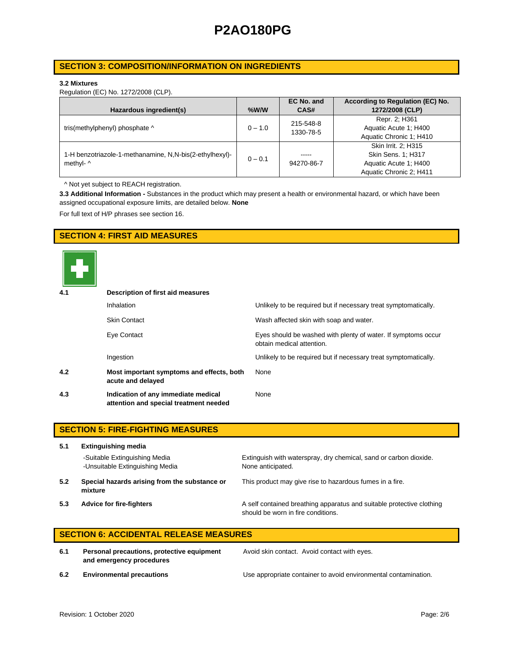## **SECTION 3: COMPOSITION/INFORMATION ON INGREDIENTS**

### **3.2 Mixtures**

Regulation (EC) No. 1272/2008 (CLP).

|                                                         |           | EC No. and | According to Regulation (EC) No. |
|---------------------------------------------------------|-----------|------------|----------------------------------|
| Hazardous ingredient(s)                                 | $%$ W/W   | CAS#       | 1272/2008 (CLP)                  |
|                                                         |           | 215-548-8  | Repr. 2; H361                    |
| tris(methylphenyl) phosphate ^                          | $0 - 1.0$ | 1330-78-5  | Aquatic Acute 1: H400            |
|                                                         |           |            | Aquatic Chronic 1; H410          |
|                                                         |           |            | Skin Irrit. 2: H315              |
| 1-H benzotriazole-1-methanamine, N,N-bis(2-ethylhexyl)- | $0 - 0.1$ | -----      | Skin Sens. 1; H317               |
| methyl- ^                                               |           | 94270-86-7 | Aquatic Acute 1: H400            |
|                                                         |           |            | Aquatic Chronic 2; H411          |

^ Not yet subject to REACH registration.

**3.3 Additional Information -** Substances in the product which may present a health or environmental hazard, or which have been assigned occupational exposure limits, are detailed below. **None**

For full text of H/P phrases see section 16.

## **SECTION 4: FIRST AID MEASURES**



| 4.1 | Description of first aid measures                                             |                                                                                            |
|-----|-------------------------------------------------------------------------------|--------------------------------------------------------------------------------------------|
|     | <b>Inhalation</b>                                                             | Unlikely to be required but if necessary treat symptomatically.                            |
|     | <b>Skin Contact</b>                                                           | Wash affected skin with soap and water.                                                    |
|     | Eye Contact                                                                   | Eyes should be washed with plenty of water. If symptoms occur<br>obtain medical attention. |
|     | Ingestion                                                                     | Unlikely to be required but if necessary treat symptomatically.                            |
| 4.2 | Most important symptoms and effects, both<br>acute and delayed                | None                                                                                       |
| 4.3 | Indication of any immediate medical<br>attention and special treatment needed | None                                                                                       |

|     | <b>SECTION 5: FIRE-FIGHTING MEASURES</b>                         |                                                                                                             |  |  |  |
|-----|------------------------------------------------------------------|-------------------------------------------------------------------------------------------------------------|--|--|--|
| 5.1 | <b>Extinguishing media</b>                                       |                                                                                                             |  |  |  |
|     | -Suitable Extinguishing Media<br>-Unsuitable Extinguishing Media | Extinguish with waterspray, dry chemical, sand or carbon dioxide.<br>None anticipated.                      |  |  |  |
| 5.2 | Special hazards arising from the substance or<br>mixture         | This product may give rise to hazardous fumes in a fire.                                                    |  |  |  |
| 5.3 | <b>Advice for fire-fighters</b>                                  | A self contained breathing apparatus and suitable protective clothing<br>should be worn in fire conditions. |  |  |  |

# **SECTION 6: ACCIDENTAL RELEASE MEASURES**

**6.1 Personal precautions, protective equipment and emergency procedures**

Avoid skin contact. Avoid contact with eyes.

**6.2 Environmental precautions** Use appropriate container to avoid environmental contamination.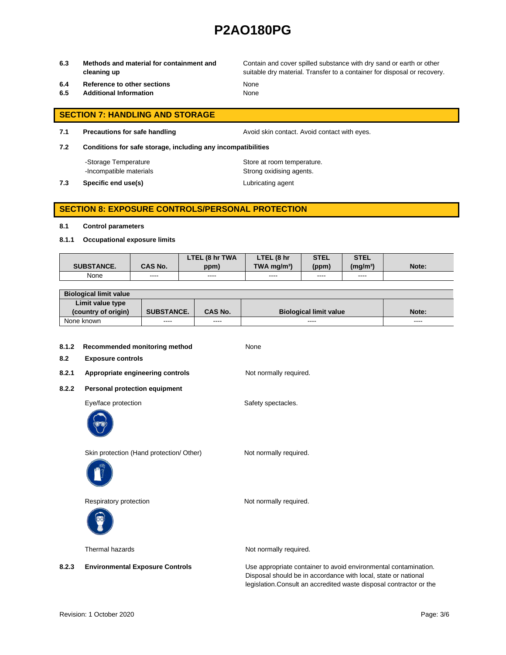**6.3 Methods and material for containment and cleaning up**

Contain and cover spilled substance with dry sand or earth or other suitable dry material. Transfer to a container for disposal or recovery.

- **6.4 Reference to other sections** None
- **6.5 Additional Information** None

- **SECTION 7: HANDLING AND STORAGE**
- **7.1 Precautions for safe handling Avoid skin contact. Avoid contact with eyes.**

**7.2 Conditions for safe storage, including any incompatibilities**

-Storage Temperature **Store at room temperature.** 

-Incompatible materials **Strong oxidising agents**. **7.3 Specific end use(s) Lubricating agent** 

# **SECTION 8: EXPOSURE CONTROLS/PERSONAL PROTECTION**

#### **8.1 Control parameters**

**8.1.1 Occupational exposure limits**

|                   |                | LTEL (8 hr TWA | LTEL (8 hr                | <b>STEL</b> | <b>STEL</b>     |       |
|-------------------|----------------|----------------|---------------------------|-------------|-----------------|-------|
| <b>SUBSTANCE.</b> | <b>CAS No.</b> | ppm)           | $TWA$ ma/m <sup>3</sup> ) | (ppm)       | $(m\alpha/m^3)$ | Note: |
| None              | ----           | ----           | ----                      | ----        | ----            |       |

| <b>Biological limit value</b> |                   |                |                               |               |
|-------------------------------|-------------------|----------------|-------------------------------|---------------|
| Limit value type              |                   |                |                               |               |
| (country of origin)           | <b>SUBSTANCE.</b> | <b>CAS No.</b> | <b>Biological limit value</b> | Note:         |
| None known                    | ----              | ----           | ----                          | $\frac{1}{2}$ |

| 8.1.2<br>8.2 | Recommended monitoring method<br><b>Exposure controls</b> | None                                                                                                                              |
|--------------|-----------------------------------------------------------|-----------------------------------------------------------------------------------------------------------------------------------|
| 8.2.1        | Appropriate engineering controls                          | Not normally required.                                                                                                            |
| 8.2.2        | Personal protection equipment                             |                                                                                                                                   |
|              | Eye/face protection                                       | Safety spectacles.                                                                                                                |
|              | Skin protection (Hand protection/ Other)                  | Not normally required.                                                                                                            |
|              | Respiratory protection                                    | Not normally required.                                                                                                            |
|              | Thermal hazards                                           | Not normally required.                                                                                                            |
| 8.2.3        | <b>Environmental Exposure Controls</b>                    | Use appropriate container to avoid environmental contamination.<br>Disposal should be in accordance with local, state or national |

legislation.Consult an accredited waste disposal contractor or the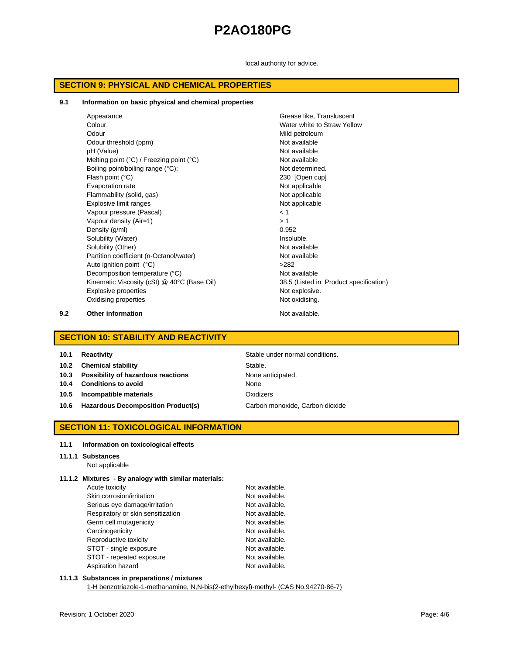local authority for advice.

## **SECTION 9: PHYSICAL AND CHEMICAL PROPERTIES**

#### **9.1 Information on basic physical and chemical properties**

| Appearance                                                 | Grease like, Transluscent               |
|------------------------------------------------------------|-----------------------------------------|
| Colour.                                                    | Water white to Straw Yellow             |
| Odour                                                      | Mild petroleum                          |
| Odour threshold (ppm)                                      | Not available                           |
| pH (Value)                                                 | Not available                           |
| Melting point $(^{\circ}C)$ / Freezing point $(^{\circ}C)$ | Not available                           |
| Boiling point/boiling range (°C):                          | Not determined.                         |
| Flash point (°C)                                           | 230 [Open cup]                          |
| Evaporation rate                                           | Not applicable                          |
| Flammability (solid, gas)                                  | Not applicable                          |
| Explosive limit ranges                                     | Not applicable                          |
| Vapour pressure (Pascal)                                   | < 1                                     |
| Vapour density (Air=1)                                     | >1                                      |
| Density (g/ml)                                             | 0.952                                   |
| Solubility (Water)                                         | Insoluble.                              |
| Solubility (Other)                                         | Not available                           |
| Partition coefficient (n-Octanol/water)                    | Not available                           |
| Auto ignition point (°C)                                   | >282                                    |
| Decomposition temperature (°C)                             | Not available                           |
| Kinematic Viscosity (cSt) @ 40°C (Base Oil)                | 38.5 (Listed in: Product specification) |
| <b>Explosive properties</b>                                | Not explosive.                          |
| Oxidising properties                                       | Not oxidising.                          |

#### **9.2 Other information Not available.**

## **SECTION 10: STABILITY AND REACTIVITY**

| 10.1 | <b>Reactivity</b> |  |
|------|-------------------|--|
|------|-------------------|--|

- **10.2 Chemical stability** Stable.
- **10.3 Possibility of hazardous reactions** None anticipated.
- **10.4 Conditions to avoid** None
- **10.5 Incompatible materials** Oxidizers
- 10.6 **Hazardous Decomposition Product(s)** Carbon monoxide, Carbon dioxide

**Stable under normal conditions.** 

## **SECTION 11: TOXICOLOGICAL INFORMATION**

#### **11.1 Information on toxicological effects**

## **11.1.1 Substances**

Not applicable

### **11.1.2 Mixtures - By analogy with similar materials:**

| Acute toxicity                    | Not available. |
|-----------------------------------|----------------|
| Skin corrosion/irritation         | Not available. |
| Serious eye damage/irritation     | Not available. |
| Respiratory or skin sensitization | Not available. |
| Germ cell mutagenicity            | Not available. |
| Carcinogenicity                   | Not available. |
| Reproductive toxicity             | Not available. |
| STOT - single exposure            | Not available. |
| STOT - repeated exposure          | Not available. |
| Aspiration hazard                 | Not available. |

## **11.1.3 Substances in preparations / mixtures**

1-H benzotriazole-1-methanamine, N,N-bis(2-ethylhexyl)-methyl- (CAS No.94270-86-7)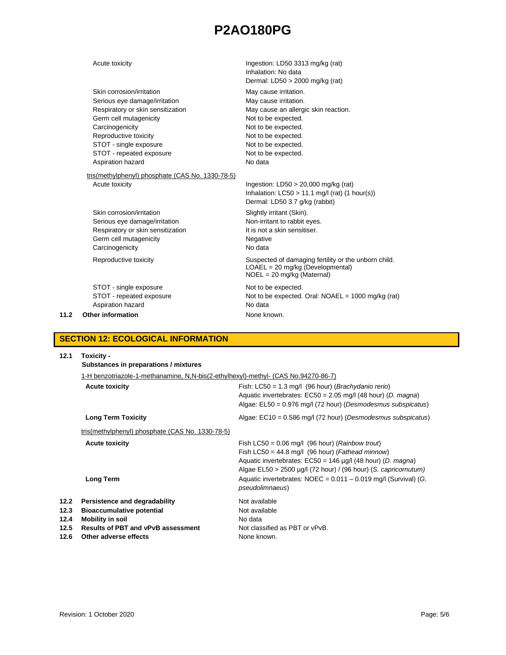| 11.2 | Other information                                                              | None known.                                                                                                                  |
|------|--------------------------------------------------------------------------------|------------------------------------------------------------------------------------------------------------------------------|
|      | STOT - single exposure<br>STOT - repeated exposure<br>Aspiration hazard        | Not to be expected.<br>Not to be expected. Oral: $NOAEL = 1000$ mg/kg (rat)<br>No data                                       |
|      | Reproductive toxicity                                                          | Suspected of damaging fertility or the unborn child.<br>$LOAEL = 20$ mg/kg (Developmental)<br>$NOEL = 20$ mg/kg (Maternal)   |
|      | Respiratory or skin sensitization<br>Germ cell mutagenicity<br>Carcinogenicity | It is not a skin sensitiser.<br>Negative<br>No data                                                                          |
|      | Skin corrosion/irritation<br>Serious eye damage/irritation                     | Slightly irritant (Skin).<br>Non-irritant to rabbit eyes.                                                                    |
|      | tris(methylphenyl) phosphate (CAS No. 1330-78-5)<br>Acute toxicity             | Ingestion: $LD50 > 20,000$ mg/kg (rat)<br>Inhalation: $LC50 > 11.1$ mg/l (rat) (1 hour(s))<br>Dermal: LD50 3.7 g/kg (rabbit) |
|      | Aspiration hazard                                                              | No data                                                                                                                      |
|      | STOT - repeated exposure                                                       | Not to be expected.                                                                                                          |
|      | STOT - single exposure                                                         | Not to be expected.                                                                                                          |
|      | Reproductive toxicity                                                          | Not to be expected.                                                                                                          |
|      | Carcinogenicity                                                                | Not to be expected.                                                                                                          |
|      | Germ cell mutagenicity                                                         | Not to be expected.                                                                                                          |
|      | Respiratory or skin sensitization                                              | May cause an allergic skin reaction.                                                                                         |
|      | Serious eye damage/irritation                                                  | May cause irritation.                                                                                                        |
|      | Skin corrosion/irritation                                                      | Dermal: LD50 > 2000 mg/kg (rat)<br>May cause irritation.                                                                     |
|      |                                                                                | Inhalation: No data                                                                                                          |
|      | Acute toxicity                                                                 | Ingestion: LD50 3313 mg/kg (rat)                                                                                             |

## **SECTION 12: ECOLOGICAL INFORMATION**

| 12.1                                 | Toxicity -<br>Substances in preparations / mixtures                                                                                                                                                 |                                                                                                                                                                                                                                                            |  |  |
|--------------------------------------|-----------------------------------------------------------------------------------------------------------------------------------------------------------------------------------------------------|------------------------------------------------------------------------------------------------------------------------------------------------------------------------------------------------------------------------------------------------------------|--|--|
|                                      | 1-H benzotriazole-1-methanamine, N,N-bis(2-ethylhexyl)-methyl- (CAS No.94270-86-7)                                                                                                                  |                                                                                                                                                                                                                                                            |  |  |
|                                      | Fish: $LC50 = 1.3$ mg/l (96 hour) ( <i>Brachydanio rerio</i> )<br>Aquatic invertebrates: $EC50 = 2.05$ mg/l (48 hour) (D. magna)<br>Algae: $E L50 = 0.976$ mg/l (72 hour) (Desmodesmus subspicatus) |                                                                                                                                                                                                                                                            |  |  |
|                                      | <b>Long Term Toxicity</b>                                                                                                                                                                           | Algae: $EC10 = 0.586$ mg/l (72 hour) (Desmodesmus subspicatus)                                                                                                                                                                                             |  |  |
|                                      | tris(methylphenyl) phosphate (CAS No. 1330-78-5)                                                                                                                                                    |                                                                                                                                                                                                                                                            |  |  |
|                                      | <b>Acute toxicity</b>                                                                                                                                                                               | Fish LC50 = $0.06$ mg/l (96 hour) ( <i>Rainbow trout</i> )<br>Fish LC50 = 44.8 mg/l (96 hour) (Fathead minnow)<br>Aquatic invertebrates: $EC50 = 146 \mu g/l$ (48 hour) (D. magna)<br>Algae $EL50 > 2500 \mu g/l$ (72 hour) / (96 hour) (S. capricornutum) |  |  |
|                                      | <b>Long Term</b>                                                                                                                                                                                    | Aquatic invertebrates: $NOEC = 0.011 - 0.019$ mg/l (Survival) (G.<br><i>pseudolimnaeus</i> )                                                                                                                                                               |  |  |
| 12.2<br>12.3<br>12.4<br>12.5<br>12.6 | Persistence and degradability<br><b>Bioaccumulative potential</b><br><b>Mobility in soil</b><br><b>Results of PBT and vPvB assessment</b><br>Other adverse effects                                  | Not available<br>Not available<br>No data<br>Not classified as PBT or vPvB.<br>None known.                                                                                                                                                                 |  |  |